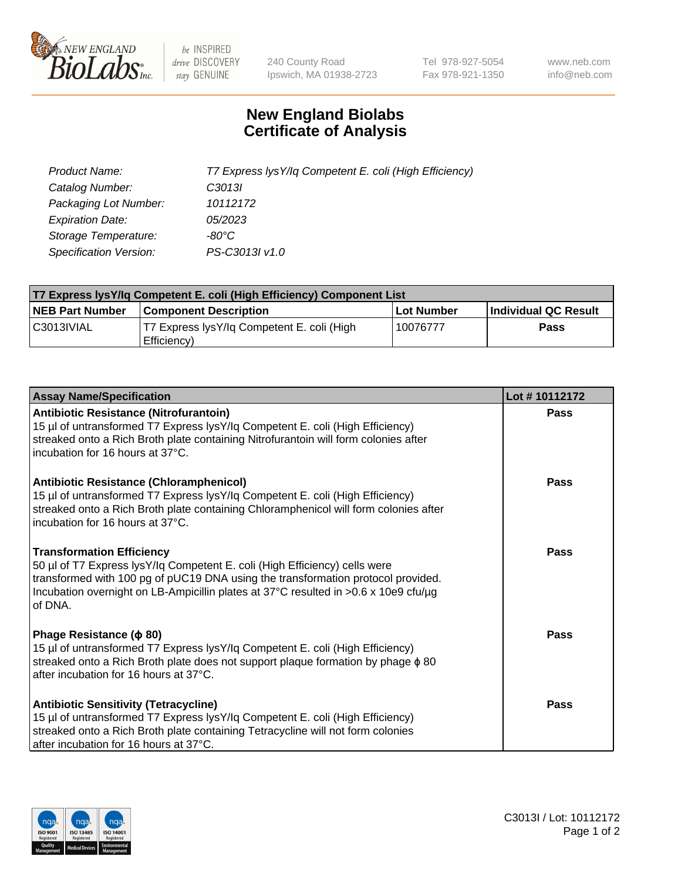

 $be$  INSPIRED drive DISCOVERY stay GENUINE

240 County Road Ipswich, MA 01938-2723 Tel 978-927-5054 Fax 978-921-1350 www.neb.com info@neb.com

## **New England Biolabs Certificate of Analysis**

| Product Name:           | T7 Express lysY/lq Competent E. coli (High Efficiency) |
|-------------------------|--------------------------------------------------------|
| Catalog Number:         | C3013I                                                 |
| Packaging Lot Number:   | 10112172                                               |
| <b>Expiration Date:</b> | 05/2023                                                |
| Storage Temperature:    | $-80^{\circ}$ C                                        |
| Specification Version:  | PS-C3013I v1.0                                         |

| <b>T7 Express lysY/lg Competent E. coli (High Efficiency) Component List</b> |                                                           |            |                      |  |
|------------------------------------------------------------------------------|-----------------------------------------------------------|------------|----------------------|--|
| <b>NEB Part Number</b>                                                       | <b>Component Description</b>                              | Lot Number | Individual QC Result |  |
| C3013IVIAL                                                                   | T7 Express lysY/lq Competent E. coli (High<br>Efficiency) | 10076777   | Pass                 |  |

| <b>Assay Name/Specification</b>                                                                                                                                                                                                                                                                      | Lot #10112172 |
|------------------------------------------------------------------------------------------------------------------------------------------------------------------------------------------------------------------------------------------------------------------------------------------------------|---------------|
| <b>Antibiotic Resistance (Nitrofurantoin)</b><br>15 µl of untransformed T7 Express lysY/lq Competent E. coli (High Efficiency)<br>streaked onto a Rich Broth plate containing Nitrofurantoin will form colonies after<br>incubation for 16 hours at 37°C.                                            | Pass          |
| <b>Antibiotic Resistance (Chloramphenicol)</b><br>15 µl of untransformed T7 Express lysY/lq Competent E. coli (High Efficiency)<br>streaked onto a Rich Broth plate containing Chloramphenicol will form colonies after<br>incubation for 16 hours at 37°C.                                          | Pass          |
| <b>Transformation Efficiency</b><br>50 µl of T7 Express lysY/lq Competent E. coli (High Efficiency) cells were<br>transformed with 100 pg of pUC19 DNA using the transformation protocol provided.<br>Incubation overnight on LB-Ampicillin plates at 37°C resulted in >0.6 x 10e9 cfu/µg<br>of DNA. | Pass          |
| Phage Resistance ( $\phi$ 80)<br>15 µl of untransformed T7 Express lysY/lq Competent E. coli (High Efficiency)<br>streaked onto a Rich Broth plate does not support plaque formation by phage $\phi$ 80<br>after incubation for 16 hours at 37°C.                                                    | Pass          |
| <b>Antibiotic Sensitivity (Tetracycline)</b><br>15 µl of untransformed T7 Express lysY/lq Competent E. coli (High Efficiency)<br>streaked onto a Rich Broth plate containing Tetracycline will not form colonies<br>after incubation for 16 hours at 37°C.                                           | Pass          |